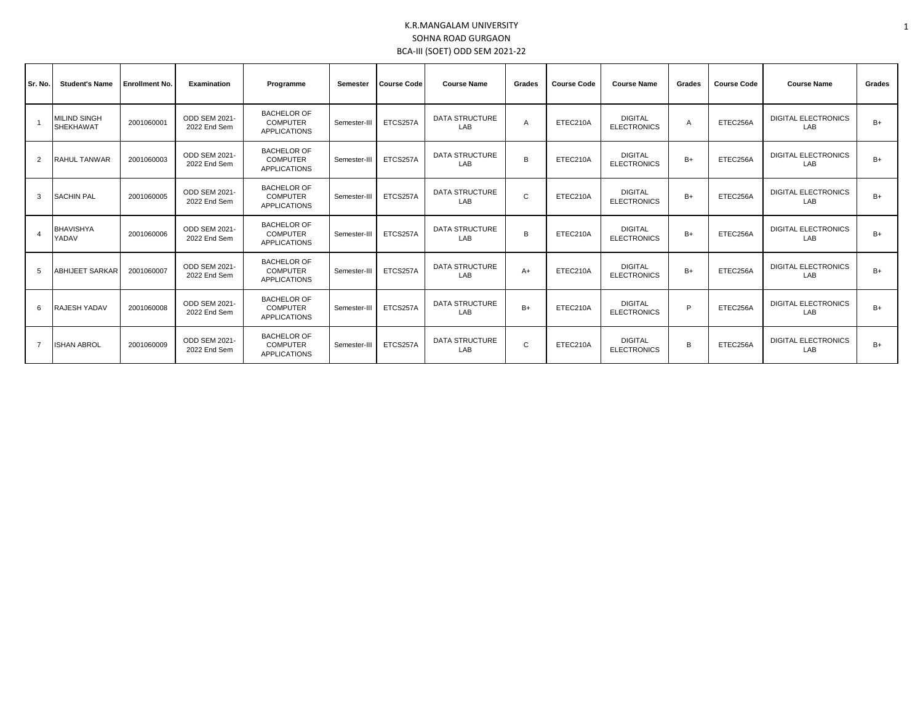## K.R.MANGALAM UNIVERSITY SOHNA ROAD GURGAON BCA-III (SOET) ODD SEM 2021-22

| Sr. No.        | <b>Student's Name</b>                   | <b>Enrollment No.</b> | Examination                          | Programme                                                    | Semester     | <b>Course Code</b> | <b>Course Name</b>           | Grades | <b>Course Code</b> | <b>Course Name</b>                   | Grades | <b>Course Code</b> | <b>Course Name</b>                | Grades |
|----------------|-----------------------------------------|-----------------------|--------------------------------------|--------------------------------------------------------------|--------------|--------------------|------------------------------|--------|--------------------|--------------------------------------|--------|--------------------|-----------------------------------|--------|
|                | <b>MILIND SINGH</b><br><b>SHEKHAWAT</b> | 2001060001            | ODD SEM 2021-<br>2022 End Sem        | <b>BACHELOR OF</b><br><b>COMPUTER</b><br><b>APPLICATIONS</b> | Semester-III | ETCS257A           | <b>DATA STRUCTURE</b><br>LAB | Α      | ETEC210A           | <b>DIGITAL</b><br><b>ELECTRONICS</b> | A      | ETEC256A           | <b>DIGITAL ELECTRONICS</b><br>LAB | B+     |
| 2              | <b>RAHUL TANWAR</b>                     | 2001060003            | ODD SEM 2021-<br>2022 End Sem        | <b>BACHELOR OF</b><br><b>COMPUTER</b><br><b>APPLICATIONS</b> | Semester-III | ETCS257A           | <b>DATA STRUCTURE</b><br>LAB | B      | ETEC210A           | <b>DIGITAL</b><br><b>ELECTRONICS</b> | $B+$   | ETEC256A           | <b>DIGITAL ELECTRONICS</b><br>LAB | $B+$   |
| 3              | <b>SACHIN PAL</b>                       | 2001060005            | <b>ODD SEM 2021-</b><br>2022 End Sem | <b>BACHELOR OF</b><br><b>COMPUTER</b><br><b>APPLICATIONS</b> | Semester-III | ETCS257A           | <b>DATA STRUCTURE</b><br>LAB | C      | ETEC210A           | <b>DIGITAL</b><br><b>ELECTRONICS</b> | $B+$   | ETEC256A           | <b>DIGITAL ELECTRONICS</b><br>LAB | $B+$   |
|                | <b>BHAVISHYA</b><br>YADAV               | 2001060006            | ODD SEM 2021-<br>2022 End Sem        | <b>BACHELOR OF</b><br><b>COMPUTER</b><br><b>APPLICATIONS</b> | Semester-III | ETCS257A           | <b>DATA STRUCTURE</b><br>LAB | B      | ETEC210A           | <b>DIGITAL</b><br><b>ELECTRONICS</b> | $B+$   | ETEC256A           | <b>DIGITAL ELECTRONICS</b><br>LAB | $B+$   |
| 5              | ABHIJEET SARKAR                         | 2001060007            | ODD SEM 2021-<br>2022 End Sem        | <b>BACHELOR OF</b><br><b>COMPUTER</b><br><b>APPLICATIONS</b> | Semester-III | ETCS257A           | <b>DATA STRUCTURE</b><br>LAB | A+     | ETEC210A           | <b>DIGITAL</b><br><b>ELECTRONICS</b> | $B+$   | ETEC256A           | <b>DIGITAL ELECTRONICS</b><br>LAB | B+     |
| 6              | <b>RAJESH YADAV</b>                     | 2001060008            | ODD SEM 2021-<br>2022 End Sem        | <b>BACHELOR OF</b><br><b>COMPUTER</b><br><b>APPLICATIONS</b> | Semester-III | ETCS257A           | <b>DATA STRUCTURE</b><br>LAB | $B+$   | ETEC210A           | <b>DIGITAL</b><br><b>ELECTRONICS</b> | Þ      | ETEC256A           | <b>DIGITAL ELECTRONICS</b><br>LAB | B+     |
| $\overline{7}$ | <b>ISHAN ABROL</b>                      | 2001060009            | ODD SEM 2021-<br>2022 End Sem        | <b>BACHELOR OF</b><br><b>COMPUTER</b><br><b>APPLICATIONS</b> | Semester-III | ETCS257A           | <b>DATA STRUCTURE</b><br>LAB | C      | ETEC210A           | <b>DIGITAL</b><br><b>ELECTRONICS</b> | R      | ETEC256A           | <b>DIGITAL ELECTRONICS</b><br>LAB | $B+$   |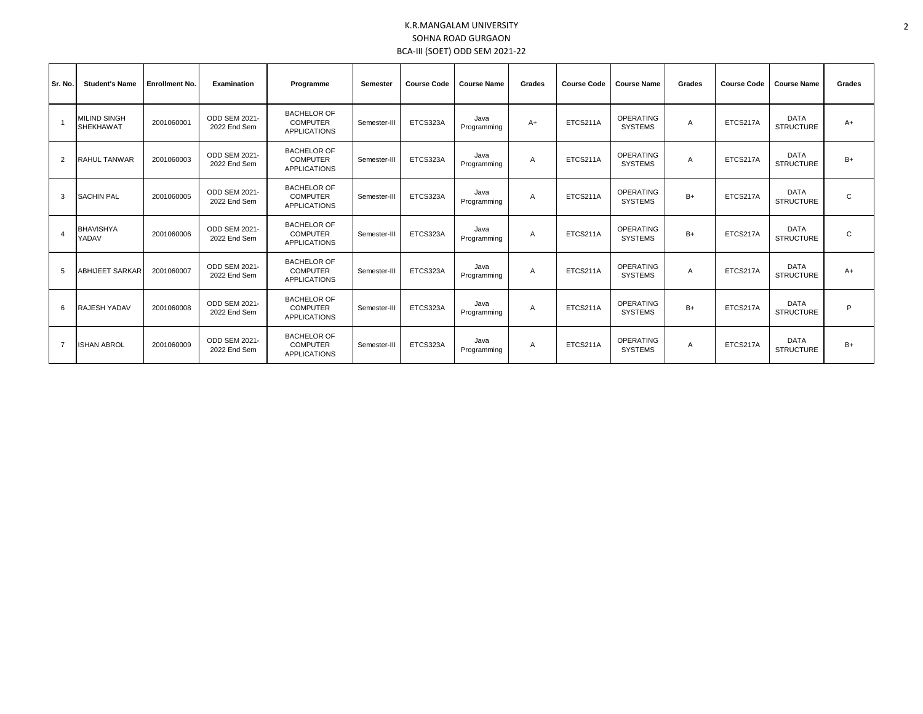## K.R.MANGALAM UNIVERSITY SOHNA ROAD GURGAON BCA-III (SOET) ODD SEM 2021-22

| Sr. No.        | <b>Student's Name</b>                   | <b>Enrollment No.</b> | Examination                          | Programme                                                    | Semester     | <b>Course Code</b> | <b>Course Name</b>  | Grades | <b>Course Code</b> | <b>Course Name</b>                 | Grades | <b>Course Code</b> | <b>Course Name</b>              | Grades       |
|----------------|-----------------------------------------|-----------------------|--------------------------------------|--------------------------------------------------------------|--------------|--------------------|---------------------|--------|--------------------|------------------------------------|--------|--------------------|---------------------------------|--------------|
| $\overline{1}$ | <b>MILIND SINGH</b><br><b>SHEKHAWAT</b> | 2001060001            | <b>ODD SEM 2021-</b><br>2022 End Sem | <b>BACHELOR OF</b><br><b>COMPUTER</b><br><b>APPLICATIONS</b> | Semester-III | ETCS323A           | Java<br>Programming | $A+$   | ETCS211A           | <b>OPERATING</b><br><b>SYSTEMS</b> | A      | ETCS217A           | <b>DATA</b><br><b>STRUCTURE</b> | $A+$         |
| $\overline{2}$ | <b>RAHUL TANWAR</b>                     | 2001060003            | <b>ODD SEM 2021-</b><br>2022 End Sem | <b>BACHELOR OF</b><br><b>COMPUTER</b><br><b>APPLICATIONS</b> | Semester-III | ETCS323A           | Java<br>Programming | A      | ETCS211A           | <b>OPERATING</b><br><b>SYSTEMS</b> | A      | ETCS217A           | <b>DATA</b><br><b>STRUCTURE</b> | $B+$         |
| 3              | <b>SACHIN PAL</b>                       | 2001060005            | <b>ODD SEM 2021-</b><br>2022 End Sem | <b>BACHELOR OF</b><br><b>COMPUTER</b><br><b>APPLICATIONS</b> | Semester-III | ETCS323A           | Java<br>Programming | A      | ETCS211A           | <b>OPERATING</b><br><b>SYSTEMS</b> | $B+$   | ETCS217A           | <b>DATA</b><br><b>STRUCTURE</b> | $\mathsf{C}$ |
|                | <b>BHAVISHYA</b><br>YADAV               | 2001060006            | <b>ODD SEM 2021-</b><br>2022 End Sem | <b>BACHELOR OF</b><br><b>COMPUTER</b><br><b>APPLICATIONS</b> | Semester-III | ETCS323A           | Java<br>Programming | A      | ETCS211A           | <b>OPERATING</b><br><b>SYSTEMS</b> | $B+$   | ETCS217A           | <b>DATA</b><br><b>STRUCTURE</b> | $\mathbf{C}$ |
| .5             | ABHIJEET SARKAR                         | 2001060007            | ODD SEM 2021-<br>2022 End Sem        | <b>BACHELOR OF</b><br><b>COMPUTER</b><br><b>APPLICATIONS</b> | Semester-III | ETCS323A           | Java<br>Programming | A      | ETCS211A           | <b>OPERATING</b><br><b>SYSTEMS</b> | A      | ETCS217A           | <b>DATA</b><br><b>STRUCTURE</b> | $A+$         |
| 6              | <b>RAJESH YADAV</b>                     | 2001060008            | ODD SEM 2021-<br>2022 End Sem        | <b>BACHELOR OF</b><br><b>COMPUTER</b><br><b>APPLICATIONS</b> | Semester-III | ETCS323A           | Java<br>Programming | A      | ETCS211A           | <b>OPERATING</b><br><b>SYSTEMS</b> | $B+$   | ETCS217A           | <b>DATA</b><br><b>STRUCTURE</b> | P            |
| $\overline{7}$ | <b>ISHAN ABROL</b>                      | 2001060009            | <b>ODD SEM 2021-</b><br>2022 End Sem | <b>BACHELOR OF</b><br><b>COMPUTER</b><br><b>APPLICATIONS</b> | Semester-III | ETCS323A           | Java<br>Programming | A      | ETCS211A           | <b>OPERATING</b><br><b>SYSTEMS</b> | A      | ETCS217A           | <b>DATA</b><br><b>STRUCTURE</b> | B+           |